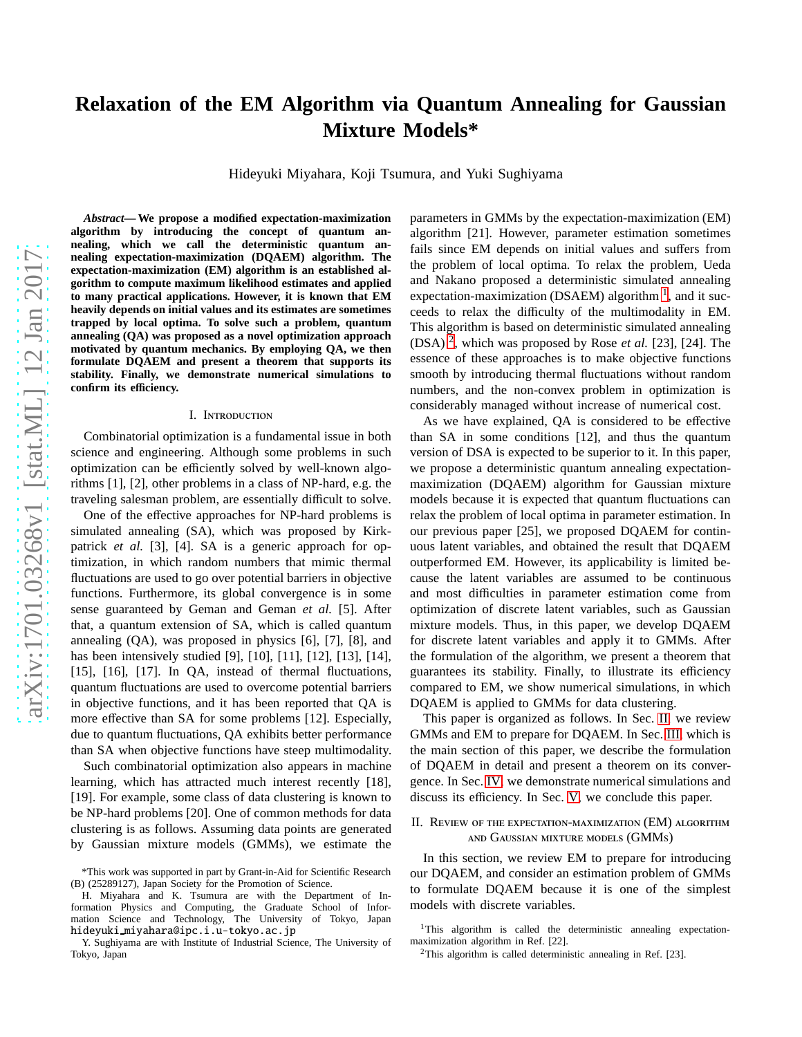# **Relaxation of the EM Algorithm via Quantum Annealing for Gaussian Mixture Models\***

Hideyuki Miyahara, Koji Tsumura, and Yuki Sughiyama

*Abstract***— We propose a modified expectation-maximization algorithm by introducing the concept of quantum annealing, which we call the deterministic quantum annealing expectation-maximization (DQAEM) algorithm. The expectation-maximization (EM) algorithm is an established algorithm to compute maximum likelihood estimates and applied to many practical applications. However, it is known that EM heavily depends on initial values and its estimates are sometimes trapped by local optima. To solve such a problem, quantum annealing (QA) was proposed as a novel optimization approach motivated by quantum mechanics. By employing QA, we then formulate DQAEM and present a theorem that supports its stability. Finally, we demonstrate numerical simulations to** confirm its efficiency.

#### I. Introduction

Combinatorial optimization is a fundamental issue in both science and engineering. Although some problems in such optimization can be efficiently solved by well-known algorithms [1], [2], other problems in a class of NP-hard, e.g. the traveling salesman problem, are essentially difficult to solve.

One of the effective approaches for NP-hard problems is simulated annealing (SA), which was proposed by Kirkpatrick *et al.* [3], [4]. SA is a generic approach for optimization, in which random numbers that mimic thermal fluctuations are used to go over potential barriers in objective functions. Furthermore, its global convergence is in some sense guaranteed by Geman and Geman *et al.* [5]. After that, a quantum extension of SA, which is called quantum annealing (QA), was proposed in physics [6], [7], [8], and has been intensively studied [9], [10], [11], [12], [13], [14], [15], [16], [17]. In QA, instead of thermal fluctuations, quantum fluctuations are used to overcome potential barriers in objective functions, and it has been reported that QA is more effective than SA for some problems [12]. Especially, due to quantum fluctuations, QA exhibits better performance than SA when objective functions have steep multimodality.

Such combinatorial optimization also appears in machine learning, which has attracted much interest recently [18], [19]. For example, some class of data clustering is known to be NP-hard problems [20]. One of common methods for data clustering is as follows. Assuming data points are generated by Gaussian mixture models (GMMs), we estimate the

H. Miyahara and K. Tsumura are with the Department of Information Physics and Computing, the Graduate School of Information Science and Technology, The University of Tokyo, Japan hideyuki miyahara@ipc.i.u-tokyo.ac.jp

parameters in GMMs by the expectation-maximization (EM) algorithm [21]. However, parameter estimation sometimes fails since EM depends on initial values and suffers from the problem of local optima. To relax the problem, Ueda and Nakano proposed a deterministic simulated annealing expectation-maximization (DSAEM) algorithm  $<sup>1</sup>$  $<sup>1</sup>$  $<sup>1</sup>$ , and it suc-</sup> ceeds to relax the difficulty of the multimodality in EM. This algorithm is based on deterministic simulated annealing (DSA) [2](#page-0-1) , which was proposed by Rose *et al.* [23], [24]. The essence of these approaches is to make objective functions smooth by introducing thermal fluctuations without random numbers, and the non-convex problem in optimization is considerably managed without increase of numerical cost.

As we have explained, QA is considered to be effective than SA in some conditions [12], and thus the quantum version of DSA is expected to be superior to it. In this paper, we propose a deterministic quantum annealing expectationmaximization (DQAEM) algorithm for Gaussian mixture models because it is expected that quantum fluctuations can relax the problem of local optima in parameter estimation. In our previous paper [25], we proposed DQAEM for continuous latent variables, and obtained the result that DQAEM outperformed EM. However, its applicability is limited because the latent variables are assumed to be continuous and most difficulties in parameter estimation come from optimization of discrete latent variables, such as Gaussian mixture models. Thus, in this paper, we develop DQAEM for discrete latent variables and apply it to GMMs. After the formulation of the algorithm, we present a theorem that guarantees its stability. Finally, to illustrate its efficiency compared to EM, we show numerical simulations, in which DQAEM is applied to GMMs for data clustering.

This paper is organized as follows. In Sec. [II,](#page-0-2) we review GMMs and EM to prepare for DQAEM. In Sec. [III,](#page-2-0) which is the main section of this paper, we describe the formulation of DQAEM in detail and present a theorem on its convergence. In Sec. [IV,](#page-3-0) we demonstrate numerical simulations and discuss its efficiency. In Sec. [V,](#page-4-0) we conclude this paper.

<span id="page-0-2"></span>II. Review of the expectation-maximization (EM) algorithm and Gaussian mixture models (GMMs)

In this section, we review EM to prepare for introducing our DQAEM, and consider an estimation problem of GMMs to formulate DQAEM because it is one of the simplest models with discrete variables.

<span id="page-0-1"></span><span id="page-0-0"></span> $2$ This algorithm is called deterministic annealing in Ref. [23].

<sup>\*</sup>This work was supported in part by Grant-in-Aid for Scientific Research (B) (25289127), Japan Society for the Promotion of Science.

Y. Sughiyama are with Institute of Industrial Science, The University of Tokyo, Japan

<sup>&</sup>lt;sup>1</sup>This algorithm is called the deterministic annealing expectationmaximization algorithm in Ref. [22].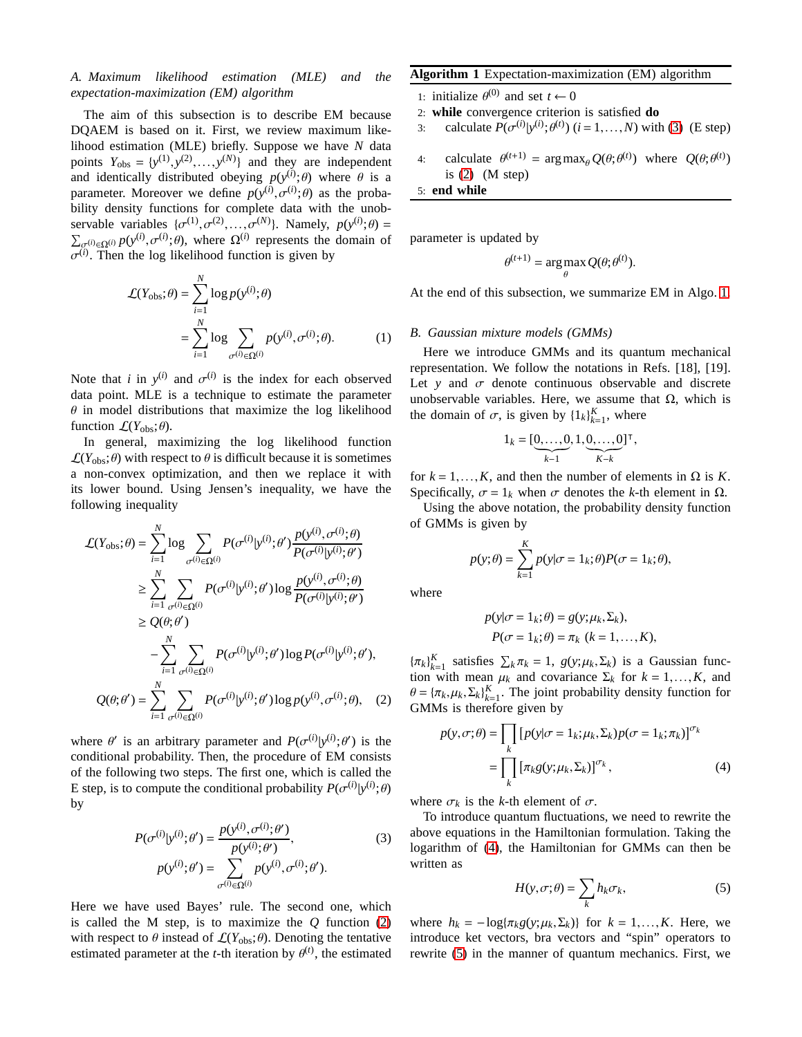# <span id="page-1-6"></span>*A. Maximum likelihood estimation (MLE) and the expectation-maximization (EM) algorithm*

The aim of this subsection is to describe EM because DQAEM is based on it. First, we review maximum likelihood estimation (MLE) briefly. Suppose we have *N* data points  $Y_{obs} = \{y^{(1)}, y^{(2)}, \dots, y^{(N)}\}$  and they are independent and identically distributed obeying  $p(y^{(i)}; \theta)$  where  $\theta$  is a parameter. Moreover we define  $p(y^{(i)}, \sigma^{(i)}; \theta)$  as the probability density functions for complete data with the unobservable variables  $\{\sigma^{(1)}, \sigma^{(2)}, \ldots, \sigma^{(N)}\}$ . Namely,  $p(y^{(i)}; \theta) =$  $\sum_{\sigma^{(i)} \in \Omega^{(i)}} p(y^{(i)}, \sigma^{(i)}; \theta)$ , where  $\Omega^{(i)}$  represents the domain of  $\sigma^{(i)}$ . Then the log likelihood function is given by

$$
\mathcal{L}(Y_{\text{obs}}; \theta) = \sum_{i=1}^{N} \log p(y^{(i)}; \theta)
$$

$$
= \sum_{i=1}^{N} \log \sum_{\sigma^{(i)} \in \Omega^{(i)}} p(y^{(i)}, \sigma^{(i)}; \theta). \tag{1}
$$

Note that *i* in  $y^{(i)}$  and  $\sigma^{(i)}$  is the index for each observed data point. MLE is a technique to estimate the parameter  $\theta$  in model distributions that maximize the log likelihood function  $\mathcal{L}(Y_{\text{obs}};\theta)$ .

In general, maximizing the log likelihood function  $\mathcal{L}(Y_{\text{obs}};\theta)$  with respect to  $\theta$  is difficult because it is sometimes a non-convex optimization, and then we replace it with its lower bound. Using Jensen's inequality, we have the following inequality

$$
\mathcal{L}(Y_{\text{obs}};\theta) = \sum_{i=1}^{N} \log \sum_{\sigma^{(i)} \in \Omega^{(i)}} P(\sigma^{(i)} | y^{(i)}; \theta') \frac{p(y^{(i)}, \sigma^{(i)}; \theta)}{P(\sigma^{(i)} | y^{(i)}; \theta')}
$$
  
\n
$$
\geq \sum_{i=1}^{N} \sum_{\sigma^{(i)} \in \Omega^{(i)}} P(\sigma^{(i)} | y^{(i)}; \theta') \log \frac{p(y^{(i)}, \sigma^{(i)}; \theta)}{P(\sigma^{(i)} | y^{(i)}; \theta')}
$$
  
\n
$$
\geq Q(\theta; \theta')
$$
  
\n
$$
- \sum_{i=1}^{N} \sum_{\sigma^{(i)} \in \Omega^{(i)}} P(\sigma^{(i)} | y^{(i)}; \theta') \log P(\sigma^{(i)} | y^{(i)}; \theta'),
$$
  
\n
$$
Q(\theta; \theta') = \sum_{i=1}^{N} \sum_{\sigma^{(i)} \in \Omega^{(i)}} P(\sigma^{(i)} | y^{(i)}; \theta') \log p(y^{(i)}, \sigma^{(i)}; \theta), \quad (2)
$$

where  $\theta'$  is an arbitrary parameter and  $P(\sigma^{(i)} | y^{(i)}; \theta')$  is the conditional probability. Then, the procedure of EM consists of the following two steps. The first one, which is called the E step, is to compute the conditional probability  $P(\sigma^{(i)} | y^{(i)}; \theta)$ by

$$
P(\sigma^{(i)}|y^{(i)};\theta') = \frac{p(y^{(i)}, \sigma^{(i)};\theta')}{p(y^{(i)};\theta')},
$$
  
\n
$$
p(y^{(i)};\theta') = \sum_{\sigma^{(i)} \in \Omega^{(i)}} p(y^{(i)}, \sigma^{(i)};\theta').
$$
\n(3)

Here we have used Bayes' rule. The second one, which is called the M step, is to maximize the *Q* function [\(2\)](#page-1-0) with respect to  $\theta$  instead of  $\mathcal{L}(Y_{\text{obs}};\theta)$ . Denoting the tentative estimated parameter at the *t*-th iteration by  $\theta^{(t)}$ , the estimated

## <span id="page-1-2"></span>**Algorithm 1** Expectation-maximization (EM) algorithm

- 1: initialize  $\theta^{(0)}$  and set  $t \leftarrow 0$
- 2: **while** convergence criterion is satisfied **do**
- 3: calculate  $P(\sigma^{(i)} | y^{(i)}; \theta^{(t)})$  (*i* = 1,...,*N*) with [\(3\)](#page-1-1) (E step)
- 4: calculate  $\theta^{(t+1)} = \arg \max_{\theta} Q(\theta; \theta^{(t)})$  where  $Q(\theta; \theta^{(t)})$ is  $(2)$  (M step)

5: **end while**

parameter is updated by

$$
\theta^{(t+1)} = \argmax_{\theta} Q(\theta; \theta^{(t)}).
$$

At the end of this subsection, we summarize EM in Algo. [1.](#page-1-2)

## <span id="page-1-5"></span>*B. Gaussian mixture models (GMMs)*

Here we introduce GMMs and its quantum mechanical representation. We follow the notations in Refs. [18], [19]. Let *y* and  $\sigma$  denote continuous observable and discrete unobservable variables. Here, we assume that  $Ω$ , which is the domain of  $\sigma$ , is given by  $\{1_k\}_{k=1}^K$ , where

$$
1_k = [\underbrace{0,\ldots,0}_{k-1},1,\underbrace{0,\ldots,0}_{K-k}]^\top,
$$

for  $k = 1, \ldots, K$ , and then the number of elements in  $\Omega$  is *K*. Specifically,  $\sigma = 1_k$  when  $\sigma$  denotes the *k*-th element in  $\Omega$ .

Using the above notation, the probability density function of GMMs is given by

$$
p(y; \theta) = \sum_{k=1}^{K} p(y | \sigma = 1_k; \theta) P(\sigma = 1_k; \theta),
$$

where

$$
p(y|\sigma = 1_k; \theta) = g(y; \mu_k, \Sigma_k),
$$
  
 
$$
P(\sigma = 1_k; \theta) = \pi_k \ (k = 1, ..., K),
$$

<span id="page-1-0"></span> ${\{\pi_k\}}_{k=1}^K$  satisfies  $\sum_k \pi_k = 1$ ,  $g(y; \mu_k, \Sigma_k)$  is a Gaussian function with mean  $\mu_k$  and covariance  $\Sigma_k$  for  $k = 1, ..., K$ , and  $\theta = {\pi_k, \mu_k, \Sigma_k}_{k=1}^K$ . The joint probability density function for GMMs is therefore given by

$$
p(y, \sigma; \theta) = \prod_{k} [p(y|\sigma = 1_k; \mu_k, \Sigma_k) p(\sigma = 1_k; \pi_k)]^{\sigma_k}
$$
  
= 
$$
\prod_{k} [\pi_k g(y; \mu_k, \Sigma_k)]^{\sigma_k},
$$
 (4)

where  $\sigma_k$  is the *k*-th element of  $\sigma$ .

<span id="page-1-1"></span>To introduce quantum fluctuations, we need to rewrite the above equations in the Hamiltonian formulation. Taking the logarithm of [\(4\)](#page-1-3), the Hamiltonian for GMMs can then be written as

<span id="page-1-4"></span><span id="page-1-3"></span>
$$
H(y, \sigma; \theta) = \sum_{k} h_k \sigma_k, \tag{5}
$$

where  $h_k = -\log{\pi_k g(y; \mu_k, \Sigma_k)}$  for  $k = 1, \ldots, K$ . Here, we introduce ket vectors, bra vectors and "spin" operators to rewrite [\(5\)](#page-1-4) in the manner of quantum mechanics. First, we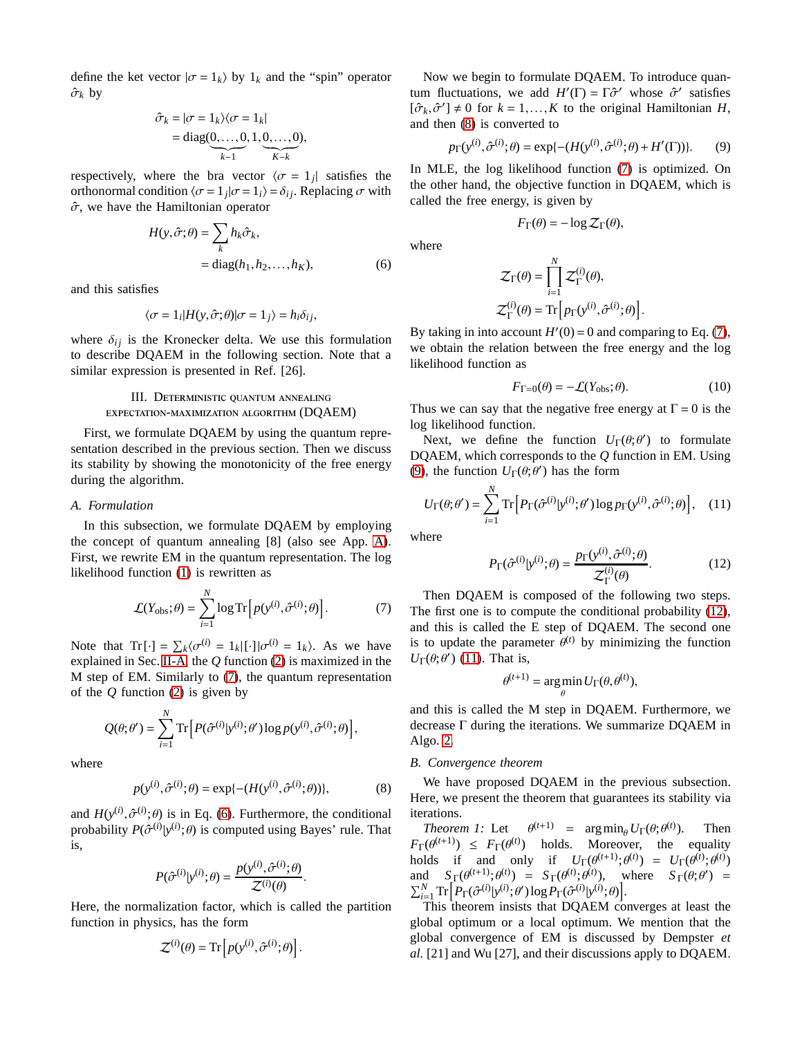define the ket vector  $|\sigma = 1_k\rangle$  by  $1_k$  and the "spin" operator  $\hat{\sigma}_k$  by

$$
\hat{\sigma}_k = |\sigma = 1_k \rangle \langle \sigma = 1_k|
$$
  
= diag(0, ..., 0, 1, 0, ..., 0),  
<sub>k-1</sub>

respectively, where the bra vector  $\langle \sigma = 1_j |$  satisfies the orthonormal condition  $\langle \sigma = 1_j | \sigma = 1_i \rangle = \delta_{ij}$ . Replacing  $\sigma$  with  $\hat{\sigma}$ , we have the Hamiltonian operator

$$
H(y, \hat{\sigma}; \theta) = \sum_{k} h_k \hat{\sigma}_k,
$$
  
= diag(h\_1, h\_2, ..., h\_K), (6)

and this satisfies

$$
\langle \sigma = 1_i | H(y, \hat{\sigma}; \theta) | \sigma = 1_j \rangle = h_i \delta_{ij},
$$

where  $\delta_{ij}$  is the Kronecker delta. We use this formulation to describe DQAEM in the following section. Note that a similar expression is presented in Ref. [26].

# <span id="page-2-0"></span>III. Deterministic quantum annealing expectation-maximization algorithm (DQAEM)

First, we formulate DQAEM by using the quantum representation described in the previous section. Then we discuss its stability by showing the monotonicity of the free energy during the algorithm.

## *A. Formulation*

In this subsection, we formulate DQAEM by employing the concept of quantum annealing [8] (also see App. [A\)](#page-5-0). First, we rewrite EM in the quantum representation. The log likelihood function [\(1\)](#page-1-5) is rewritten as

$$
\mathcal{L}(Y_{\text{obs}};\theta) = \sum_{i=1}^{N} \log \text{Tr}\left[p(y^{(i)}, \hat{\sigma}^{(i)}; \theta)\right].
$$
 (7)

Note that  $\text{Tr}[\cdot] = \sum_{k} \langle \sigma^{(i)} \rangle = 1_k | \cdot | \sigma^{(i)} \rangle = 1_k$ . As we have explained in Sec. [II-A,](#page-1-6) the *Q* function [\(2\)](#page-1-0) is maximized in the M step of EM. Similarly to [\(7\)](#page-2-1), the quantum representation of the *Q* function [\(2\)](#page-1-0) is given by

$$
Q(\theta;\theta') = \sum_{i=1}^N \text{Tr}\Big[P(\hat{\sigma}^{(i)}|y^{(i)};\theta')\log p(y^{(i)},\hat{\sigma}^{(i)};\theta)\Big],
$$

where

$$
p(y^{(i)}, \hat{\sigma}^{(i)}; \theta) = \exp\{- (H(y^{(i)}, \hat{\sigma}^{(i)}; \theta))\},\tag{8}
$$

.

and  $H(y^{(i)}, \hat{\sigma}^{(i)}; \theta)$  is in Eq. [\(6\)](#page-2-2). Furthermore, the conditional probability  $P(\hat{\sigma}^{(i)} | y^{(i)}; \theta)$  is computed using Bayes' rule. That is,

$$
P(\hat{\sigma}^{(i)}|y^{(i)};\theta) = \frac{p(y^{(i)}, \hat{\sigma}^{(i)};\theta)}{\mathcal{Z}^{(i)}(\theta)}
$$

Here, the normalization factor, which is called the partition function in physics, has the form

$$
\mathcal{Z}^{(i)}(\theta) = \text{Tr}\left[p(\mathbf{y}^{(i)}, \hat{\sigma}^{(i)}; \theta)\right].
$$

Now we begin to formulate DQAEM. To introduce quantum fluctuations, we add  $H'(\Gamma) = \Gamma \hat{\sigma}'$  whose  $\hat{\sigma}'$  satisfies  $[\hat{\sigma}_k, \hat{\sigma}'] \neq 0$  for  $k = 1, ..., K$  to the original Hamiltonian *H*, and then [\(8\)](#page-2-3) is converted to

$$
p_{\Gamma}(y^{(i)}, \hat{\sigma}^{(i)}; \theta) = \exp\{- (H(y^{(i)}, \hat{\sigma}^{(i)}; \theta) + H'(\Gamma))\}.
$$
 (9)

In MLE, the log likelihood function [\(7\)](#page-2-1) is optimized. On the other hand, the objective function in DQAEM, which is called the free energy, is given by

$$
F_{\Gamma}(\theta) = -\log \mathcal{Z}_{\Gamma}(\theta),
$$

<span id="page-2-2"></span>where

$$
\begin{aligned} \mathcal{Z}_{\Gamma}(\theta) &= \prod_{i=1}^{N} \mathcal{Z}_{\Gamma}^{(i)}(\theta), \\ \mathcal{Z}_{\Gamma}^{(i)}(\theta) &= \text{Tr} \left[ p_{\Gamma}(\mathbf{y}^{(i)}, \hat{\sigma}^{(i)}; \theta) \right] \end{aligned}
$$

By taking in into account  $H'(0) = 0$  and comparing to Eq. [\(7\)](#page-2-1), we obtain the relation between the free energy and the log likelihood function as

$$
F_{\Gamma=0}(\theta) = -\mathcal{L}(Y_{\text{obs}};\theta). \tag{10}
$$

<span id="page-2-6"></span><span id="page-2-4"></span>.

Thus we can say that the negative free energy at  $\Gamma = 0$  is the log likelihood function.

Next, we define the function  $U_{\Gamma}(\theta; \theta')$  to formulate DQAEM, which corresponds to the *Q* function in EM. Using [\(9\)](#page-2-4), the function  $U_{\Gamma}(\theta; \theta')$  has the form

$$
U_{\Gamma}(\theta; \theta') = \sum_{i=1}^{N} \text{Tr}\left[P_{\Gamma}(\hat{\sigma}^{(i)}|\mathbf{y}^{(i)}; \theta') \log p_{\Gamma}(\mathbf{y}^{(i)}, \hat{\sigma}^{(i)}; \theta)\right], \quad (11)
$$

where

<span id="page-2-5"></span>
$$
P_{\Gamma}(\hat{\sigma}^{(i)}|\mathbf{y}^{(i)};\theta) = \frac{p_{\Gamma}(\mathbf{y}^{(i)},\hat{\sigma}^{(i)};\theta)}{\mathcal{Z}_{\Gamma}^{(i)}(\theta)}.
$$
 (12)

<span id="page-2-1"></span>Then DQAEM is composed of the following two steps. The first one is to compute the conditional probability [\(12\)](#page-2-5), and this is called the E step of DQAEM. The second one is to update the parameter  $\theta^{(t)}$  by minimizing the function  $U_{\Gamma}(\theta; \theta')$  [\(11\)](#page-2-6). That is,

$$
\theta^{(t+1)} = \arg\min_{\theta} U_{\Gamma}(\theta, \theta^{(t)}),
$$

and this is called the M step in DQAEM. Furthermore, we decrease Γ during the iterations. We summarize DQAEM in Algo. [2.](#page-3-1)

#### *B. Convergence theorem*

<span id="page-2-3"></span>We have proposed DQAEM in the previous subsection. Here, we present the theorem that guarantees its stability via iterations.

*Theorem 1:* Let  $\theta^{(t+1)}$  = argmin<sub> $\theta$ </sub> *U*<sub>Γ</sub>( $\theta$ ; $\theta^{(t)}$ ) ). Then  $F_{\Gamma}(\theta^{(t+1)}) \leq F_{\Gamma}(\theta^{(t)})$  holds. Moreover, the equality holds if and only if  $U_{\Gamma}(\theta^{(t+1)}; \theta^{(t)}) = U_{\Gamma}(\theta^{(t)}; \theta^{(t)})$ and  $S_{\Gamma}(\theta^{(t+1)}; \theta^{(t)}) = S_{\Gamma}(\theta^{(t)}; \theta^{(t)})$ , where  $S_{\Gamma}(\theta; \theta') =$  $\sum_{i=1}^N \text{Tr}\Big[P_\Gamma(\hat{\sigma}^{(i)}|y^{(i)};\theta')\log P_\Gamma(\hat{\sigma}^{(i)}|y^{(i)};\theta)\Big].$ 

This theorem insists that DQAEM converges at least the global optimum or a local optimum. We mention that the global convergence of EM is discussed by Dempster *et al.* [21] and Wu [27], and their discussions apply to DQAEM.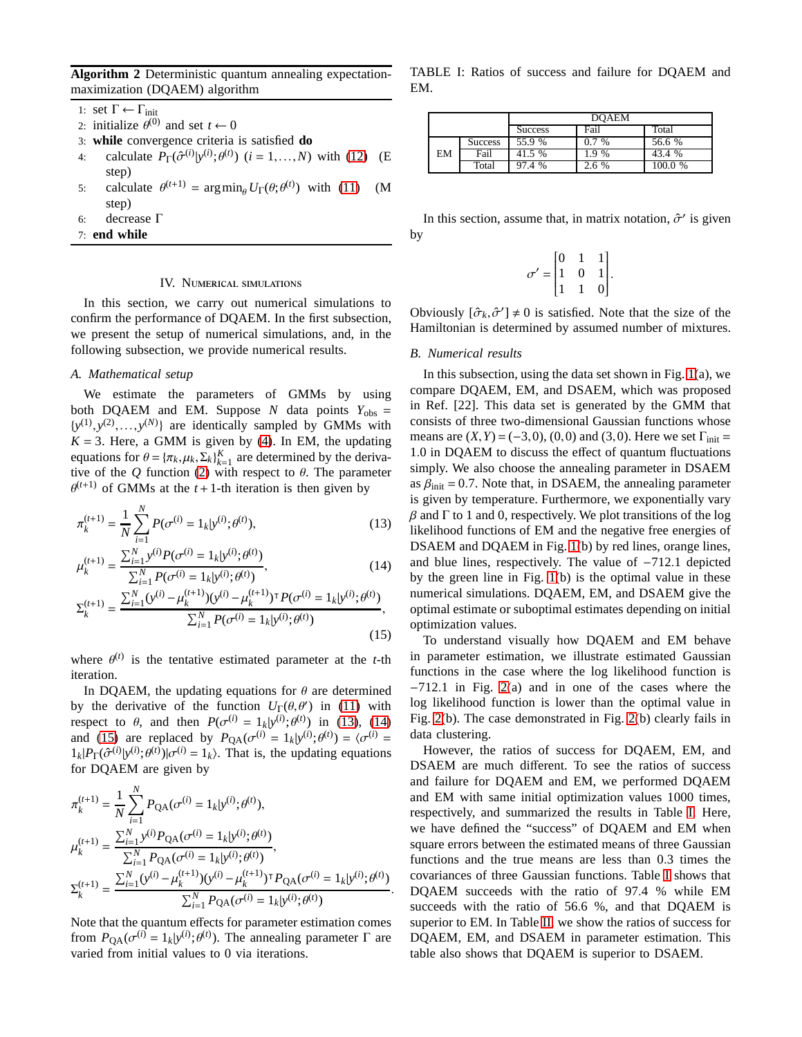<span id="page-3-1"></span>**Algorithm 2** Deterministic quantum annealing expectationmaximization (DQAEM) algorithm

1: set  $\Gamma$  ←  $\Gamma$ <sub>init</sub>

- 2: initialize  $\theta^{(0)}$  and set  $t \leftarrow 0$
- 3: **while** convergence criteria is satisfied **do**
- 4: calculate  $P_{\Gamma}(\hat{\sigma}^{(i)} | y^{(i)}; \theta^{(t)})$  (*i* = 1,...,*N*) with [\(12\)](#page-2-5) (E step)
- 5: calculate  $\theta^{(t+1)} = \arg \min_{\theta} U_{\Gamma}(\theta; \theta^{(t)})$  with [\(11\)](#page-2-6) (M step)
- 6: decrease Γ
- <span id="page-3-0"></span>7: **end while**

### IV. Numerical simulations

In this section, we carry out numerical simulations to confirm the performance of DQAEM. In the first subsection, we present the setup of numerical simulations, and, in the following subsection, we provide numerical results.

#### *A. Mathematical setup*

We estimate the parameters of GMMs by using both DQAEM and EM. Suppose *N* data points  $Y_{obs}$  =  $\{y^{(1)}, y^{(2)}, \ldots, y^{(N)}\}$  are identically sampled by GMMs with  $K = 3$ . Here, a GMM is given by [\(4\)](#page-1-3). In EM, the updating equations for  $\theta = {\pi_k, \mu_k, \Sigma_k}_{k=1}^K$  are determined by the derivative of the  $Q$  function [\(2\)](#page-1-0) with respect to  $\theta$ . The parameter  $\theta^{(t+1)}$  of GMMs at the  $t+1$ -th iteration is then given by

$$
\pi_k^{(t+1)} = \frac{1}{N} \sum_{i=1}^N P(\sigma^{(i)} = 1_k | y^{(i)}; \theta^{(t)}),
$$
\n(13)

$$
\mu_k^{(t+1)} = \frac{\sum_{i=1}^N y^{(i)} P(\sigma^{(i)} = 1_k | y^{(i)}; \theta^{(t)})}{\sum_{i=1}^N P(\sigma^{(i)} = 1_k | y^{(i)}; \theta^{(t)})},
$$
\n(14)

$$
\Sigma_{k}^{(t+1)} = \frac{\sum_{i=1}^{N} (y^{(i)} - \mu_{k}^{(t+1)})(y^{(i)} - \mu_{k}^{(t+1)})^{\top} P(\sigma^{(i)} = 1_{k}|y^{(i)}; \theta^{(t)})}{\sum_{i=1}^{N} P(\sigma^{(i)} = 1_{k}|y^{(i)}; \theta^{(t)})},
$$
\n(15)

where  $\theta^{(t)}$  is the tentative estimated parameter at the *t*-th iteration.

In DQAEM, the updating equations for  $\theta$  are determined by the derivative of the function  $U_{\Gamma}(\theta, \theta')$  in [\(11\)](#page-2-6) with respect to  $\theta$ , and then  $P(\sigma^{(i)} = 1_k | y^{(i)}; \theta^{(t)})$  in [\(13\)](#page-3-2), [\(14\)](#page-3-3) and [\(15\)](#page-3-4) are replaced by  $P_{QA}(\sigma^{(i)} = 1_k | y^{(i)}; \theta^{(t)}) = \langle \sigma^{(i)} \rangle$  $1_k$ | $P_{\Gamma}(\hat{\sigma}^{(i)} | y^{(i)}; \theta^{(t)}) | \sigma^{(i)} = 1_k$ }. That is, the updating equations for DQAEM are given by

$$
\pi_k^{(t+1)} = \frac{1}{N} \sum_{i=1}^N P_{\text{QA}}(\sigma^{(i)} = 1_k | y^{(i)}; \theta^{(t)}),
$$
\n
$$
\mu_k^{(t+1)} = \frac{\sum_{i=1}^N y^{(i)} P_{\text{QA}}(\sigma^{(i)} = 1_k | y^{(i)}; \theta^{(t)})}{\sum_{i=1}^N P_{\text{QA}}(\sigma^{(i)} = 1_k | y^{(i)}; \theta^{(t)})},
$$
\n
$$
\Sigma_k^{(t+1)} = \frac{\sum_{i=1}^N (y^{(i)} - \mu_k^{(t+1)})(y^{(i)} - \mu_k^{(t+1)})^\mathsf{T} P_{\text{QA}}(\sigma^{(i)} = 1_k | y^{(i)}; \theta^{(t)})}{\sum_{i=1}^N P_{\text{QA}}(\sigma^{(i)} = 1_k | y^{(i)}; \theta^{(t)})}.
$$

Note that the quantum effects for parameter estimation comes from  $P_{\text{QA}}(\sigma^{(i)} = 1_k | y^{(i)}; \theta^{(i)})$ . The annealing parameter  $\Gamma$  are varied from initial values to 0 via iterations.

<span id="page-3-5"></span>TABLE I: Ratios of success and failure for DQAEM and EM.

|    |                | <b>DOAEM</b>           |                     |                       |
|----|----------------|------------------------|---------------------|-----------------------|
|    |                | <b>Success</b>         | Fail                | Total                 |
| EM | <b>Success</b> | 55.9 %                 | 07<br>$\frac{0}{0}$ | 56.6 %                |
|    | Fail           | 41.5 %                 | $9\%$               | $\frac{0}{0}$<br>43.4 |
|    | Total          | $\%$<br>$\overline{A}$ | 2.6 %               | $\frac{0}{6}$         |

In this section, assume that, in matrix notation,  $\hat{\sigma}'$  is given by

$$
\sigma' = \begin{bmatrix} 0 & 1 & 1 \\ 1 & 0 & 1 \\ 1 & 1 & 0 \end{bmatrix}.
$$

Obviously  $[\hat{\sigma}_k, \hat{\sigma}'] \neq 0$  is satisfied. Note that the size of the Hamiltonian is determined by assumed number of mixtures.

#### *B. Numerical results*

In this subsection, using the data set shown in Fig.  $1(a)$ , we compare DQAEM, EM, and DSAEM, which was proposed in Ref. [22]. This data set is generated by the GMM that consists of three two-dimensional Gaussian functions whose means are  $(X, Y) = (-3, 0), (0, 0)$  and  $(3, 0)$ . Here we set  $\Gamma_{init} =$ 1.0 in DQAEM to discuss the effect of quantum fluctuations simply. We also choose the annealing parameter in DSAEM as  $\beta_{init} = 0.7$ . Note that, in DSAEM, the annealing parameter is given by temperature. Furthermore, we exponentially vary  $β$  and Γ to 1 and 0, respectively. We plot transitions of the log likelihood functions of EM and the negative free energies of DSAEM and DQAEM in Fig. [1\(](#page-4-1)b) by red lines, orange lines, and blue lines, respectively. The value of −712.1 depicted by the green line in Fig. [1\(](#page-4-1)b) is the optimal value in these numerical simulations. DQAEM, EM, and DSAEM give the optimal estimate or suboptimal estimates depending on initial optimization values.

<span id="page-3-4"></span><span id="page-3-3"></span><span id="page-3-2"></span>To understand visually how DQAEM and EM behave in parameter estimation, we illustrate estimated Gaussian functions in the case where the log likelihood function is −712.1 in Fig. [2\(](#page-4-2)a) and in one of the cases where the log likelihood function is lower than the optimal value in Fig. [2\(](#page-4-2)b). The case demonstrated in Fig. [2\(](#page-4-2)b) clearly fails in data clustering.

However, the ratios of success for DQAEM, EM, and DSAEM are much different. To see the ratios of success and failure for DQAEM and EM, we performed DQAEM and EM with same initial optimization values 1000 times, respectively, and summarized the results in Table [I.](#page-3-5) Here, we have defined the "success" of DQAEM and EM when square errors between the estimated means of three Gaussian functions and the true means are less than 0.3 times the covariances of three Gaussian functions. Table [I](#page-3-5) shows that DQAEM succeeds with the ratio of 97.4 % while EM succeeds with the ratio of 56.6 %, and that DQAEM is superior to EM. In Table [II,](#page-4-3) we show the ratios of success for DQAEM, EM, and DSAEM in parameter estimation. This table also shows that DQAEM is superior to DSAEM.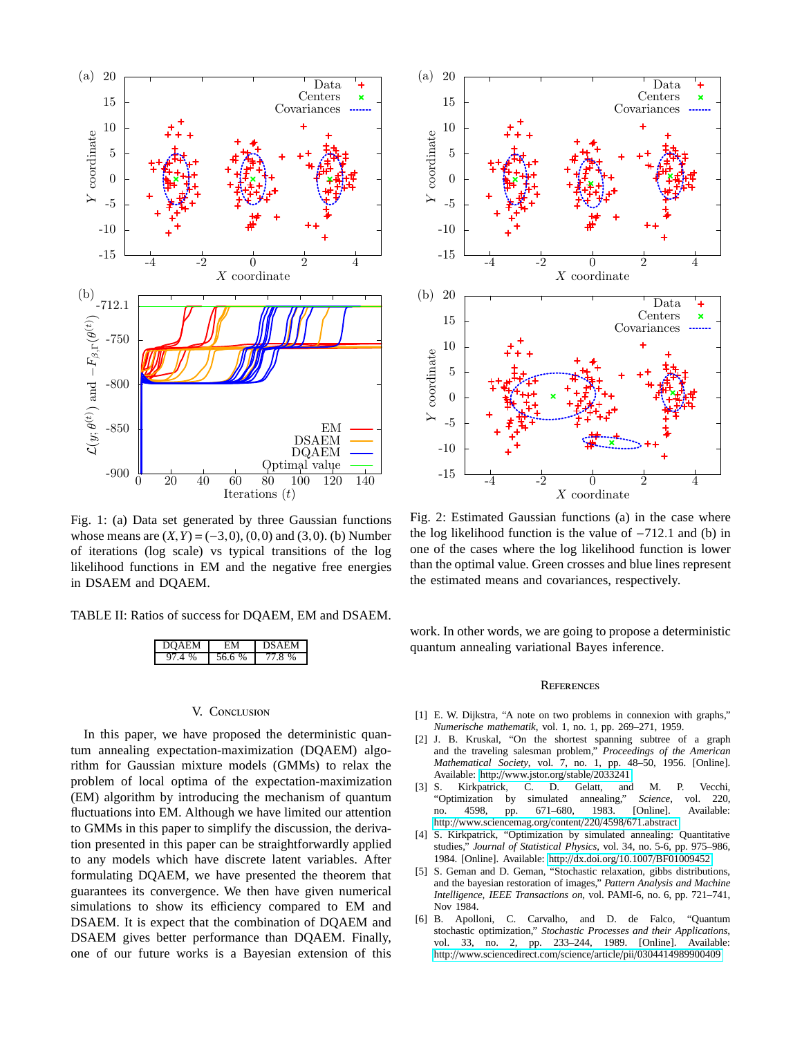<span id="page-4-1"></span>

Fig. 1: (a) Data set generated by three Gaussian functions whose means are  $(X, Y) = (-3, 0)$ ,  $(0, 0)$  and  $(3, 0)$ . (b) Number of iterations (log scale) vs typical transitions of the log likelihood functions in EM and the negative free energies in DSAEM and DQAEM.

<span id="page-4-3"></span>TABLE II: Ratios of success for DQAEM, EM and DSAEM.

| $\sqrt{1}$ | %<br>h |  |
|------------|--------|--|

## V. Conclusion

<span id="page-4-0"></span>In this paper, we have proposed the deterministic quantum annealing expectation-maximization (DQAEM) algorithm for Gaussian mixture models (GMMs) to relax the problem of local optima of the expectation-maximization (EM) algorithm by introducing the mechanism of quantum fluctuations into EM. Although we have limited our attention to GMMs in this paper to simplify the discussion, the derivation presented in this paper can be straightforwardly applied to any models which have discrete latent variables. After formulating DQAEM, we have presented the theorem that guarantees its convergence. We then have given numerical simulations to show its efficiency compared to EM and DSAEM. It is expect that the combination of DQAEM and DSAEM gives better performance than DQAEM. Finally, one of our future works is a Bayesian extension of this

<span id="page-4-2"></span>

Fig. 2: Estimated Gaussian functions (a) in the case where the log likelihood function is the value of −712.1 and (b) in one of the cases where the log likelihood function is lower than the optimal value. Green crosses and blue lines represent the estimated means and covariances, respectively.

work. In other words, we are going to propose a deterministic quantum annealing variational Bayes inference.

#### **REFERENCES**

- [1] E. W. Dijkstra, "A note on two problems in connexion with graphs," *Numerische mathematik*, vol. 1, no. 1, pp. 269–271, 1959.
- [2] J. B. Kruskal, "On the shortest spanning subtree of a graph and the traveling salesman problem," *Proceedings of the American Mathematical Society*, vol. 7, no. 1, pp. 48–50, 1956. [Online]. Available: http://[www.jstor.org](http://www.jstor.org/stable/2033241)/stable/2033241
- [3] S. Kirkpatrick, C. D. Gelatt, and M. P. Vecchi, "Optimization no. 4598, pp. 671–680, 1983. [Online]. Available: http://[www.sciencemag.org](http://www.sciencemag.org/content/220/4598/671.abstract)/content/220/4598/671.abstract
- [4] S. Kirkpatrick, "Optimization by simulated annealing: Quantitative studies," *Journal of Statistical Physics*, vol. 34, no. 5-6, pp. 975–986, 1984. [Online]. Available: http://dx.doi.org/10.1007/[BF01009452](http://dx.doi.org/10.1007/BF01009452)
- [5] S. Geman and D. Geman, "Stochastic relaxation, gibbs distributions, and the bayesian restoration of images," *Pattern Analysis and Machine Intelligence, IEEE Transactions on*, vol. PAMI-6, no. 6, pp. 721–741, Nov 1984.
- [6] B. Apolloni, C. Carvalho, and D. de Falco, "Quantum stochastic optimization," *Stochastic Processes and their Applications*, 33, no. 2, pp. 233-244, 1989. [Online]. Available: http://[www.sciencedirect.com](http://www.sciencedirect.com/science/article/pii/0304414989900409)/science/article/pii/0304414989900409